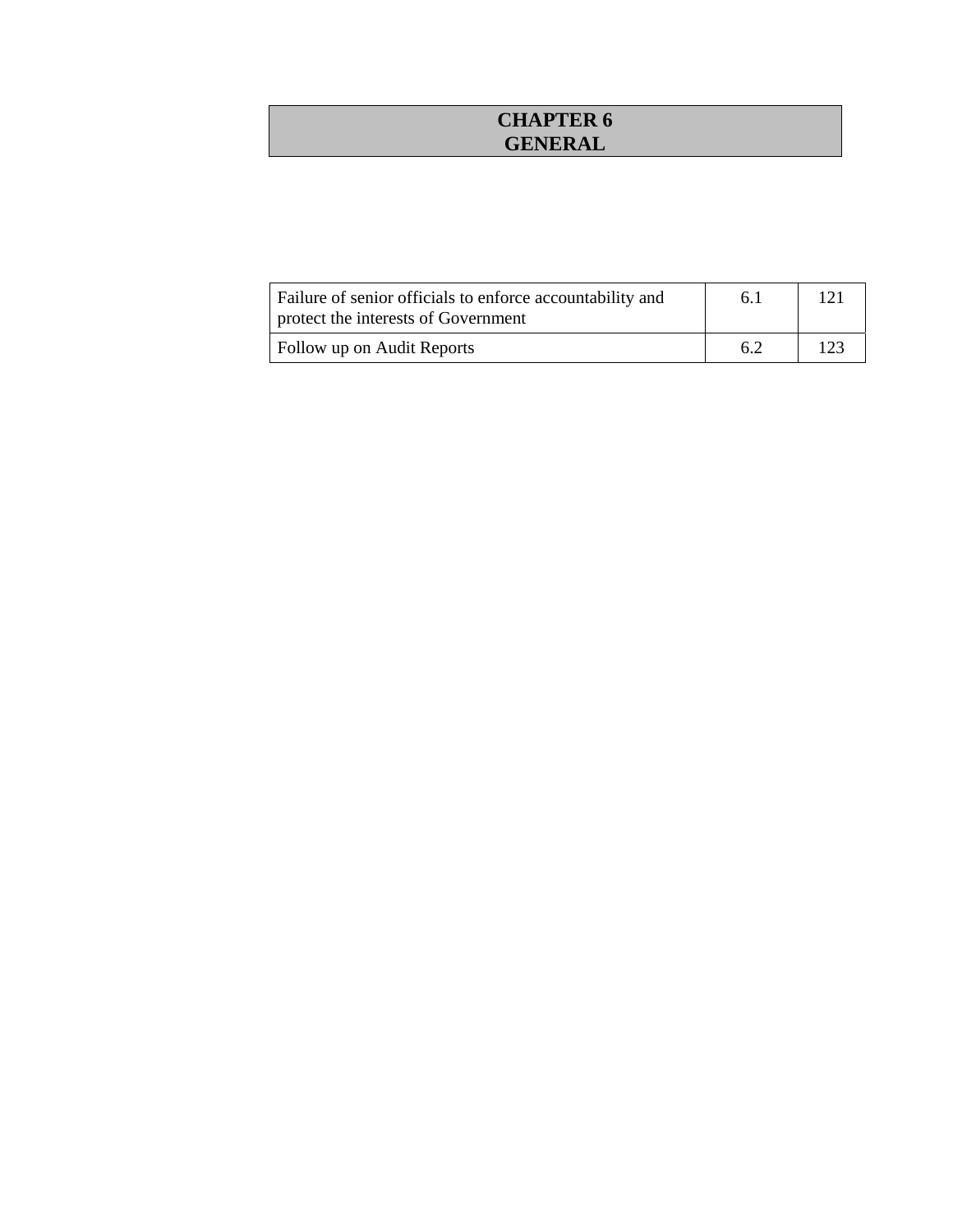## **CHAPTER 6 GENERAL**

| Failure of senior officials to enforce accountability and<br>protect the interests of Government | 6.1 |  |
|--------------------------------------------------------------------------------------------------|-----|--|
| <b>Follow up on Audit Reports</b>                                                                | 6.2 |  |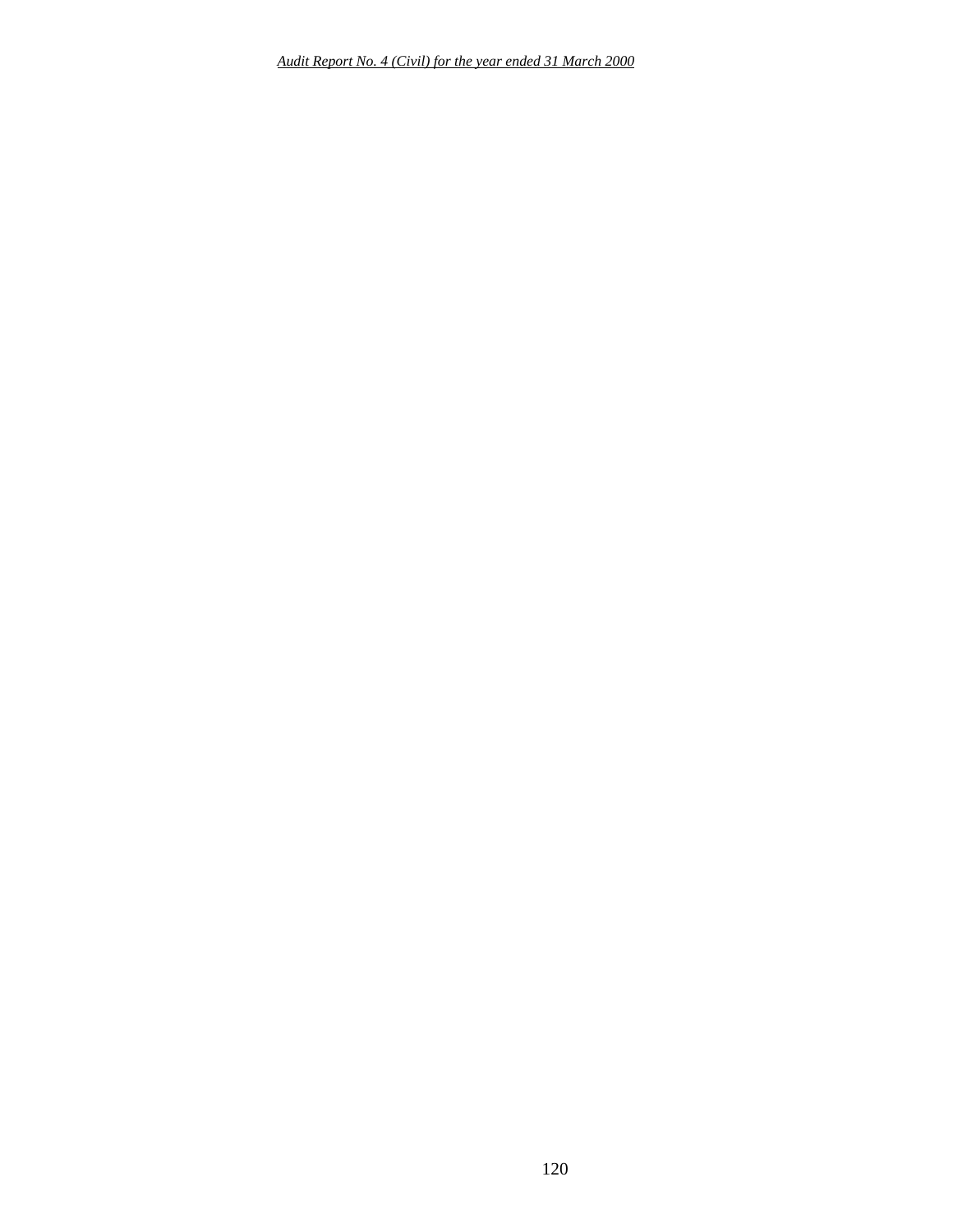*Audit Report No. 4 (Civil) for the year ended 31 March 2000*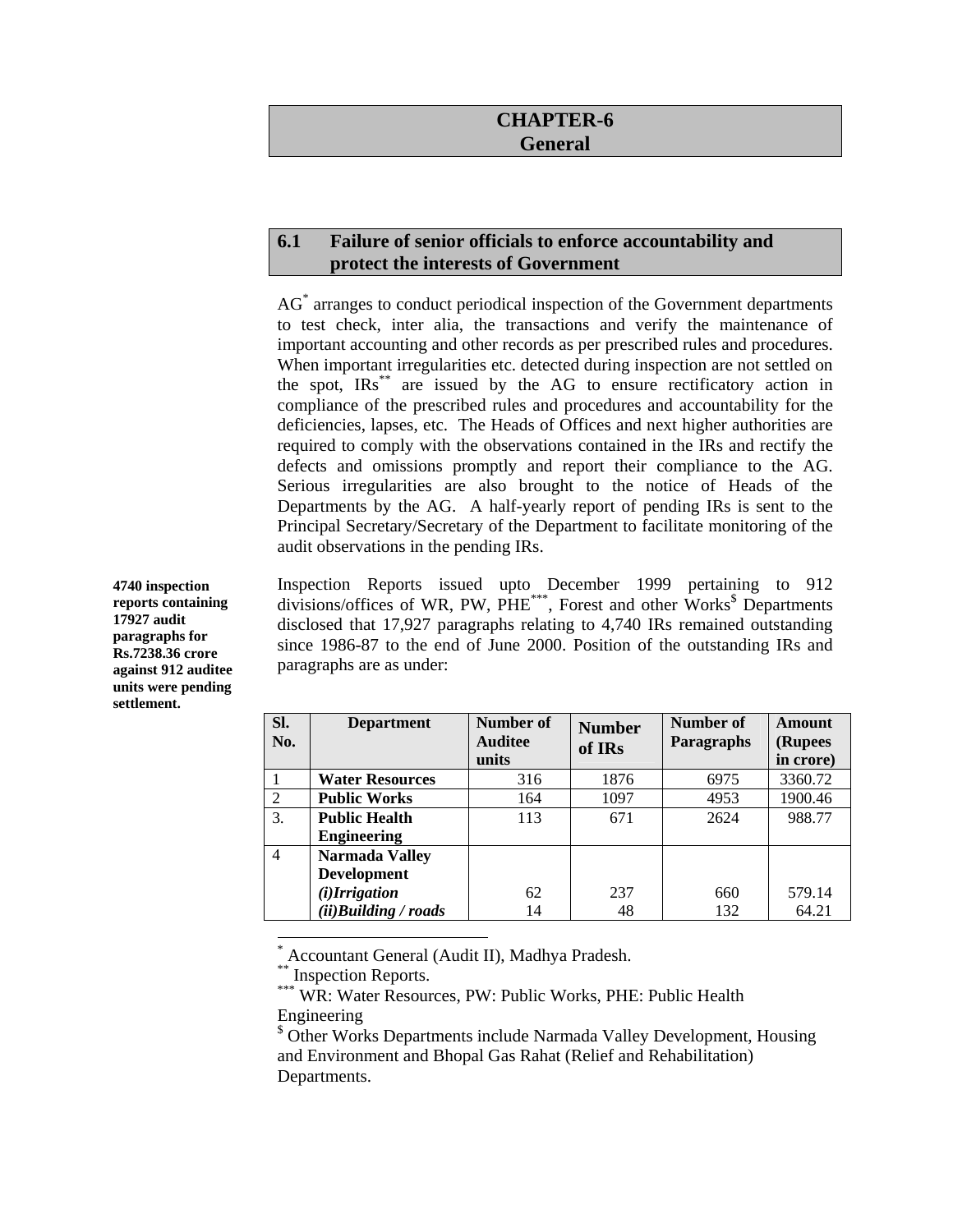## **CHAPTER-6 General**

## **6.1 Failure of senior officials to enforce accountability and protect the interests of Government**

AG<sup>\*</sup> arranges to conduct periodical inspection of the Government departments to test check, inter alia, the transactions and verify the maintenance of important accounting and other records as per prescribed rules and procedures. When important irregularities etc. detected during inspection are not settled on the spot, IRs\*\* are issued by the AG to ensure rectificatory action in compliance of the prescribed rules and procedures and accountability for the deficiencies, lapses, etc. The Heads of Offices and next higher authorities are required to comply with the observations contained in the IRs and rectify the defects and omissions promptly and report their compliance to the AG. Serious irregularities are also brought to the notice of Heads of the Departments by the AG. A half-yearly report of pending IRs is sent to the Principal Secretary/Secretary of the Department to facilitate monitoring of the audit observations in the pending IRs.

Inspection Reports issued upto December 1999 pertaining to 912 divisions/offices of WR, PW, PHE<sup>\*\*\*</sup>, Forest and other Works<sup>\$</sup> Departments disclosed that 17,927 paragraphs relating to 4,740 IRs remained outstanding since 1986-87 to the end of June 2000. Position of the outstanding IRs and paragraphs are as under:

| Sl.<br>No.     | <b>Department</b>      | Number of<br><b>Auditee</b><br>units | <b>Number</b><br>of IRs | Number of<br>Paragraphs | Amount<br>(Rupees<br>in crore) |
|----------------|------------------------|--------------------------------------|-------------------------|-------------------------|--------------------------------|
|                | <b>Water Resources</b> | 316                                  | 1876                    | 6975                    | 3360.72                        |
| 2              | <b>Public Works</b>    | 164                                  | 1097                    | 4953                    | 1900.46                        |
| 3.             | <b>Public Health</b>   | 113                                  | 671                     | 2624                    | 988.77                         |
|                | <b>Engineering</b>     |                                      |                         |                         |                                |
| $\overline{4}$ | <b>Narmada Valley</b>  |                                      |                         |                         |                                |
|                | <b>Development</b>     |                                      |                         |                         |                                |
|                | (i)Irrigation          | 62                                   | 237                     | 660                     | 579.14                         |
|                | (ii) Building / roads  | 14                                   | 48                      | 132                     | 64.21                          |

\* Accountant General (Audit II), Madhya Pradesh.

l

**4740 inspection reports containing 17927 audit paragraphs for Rs.7238.36 crore against 912 auditee units were pending settlement.** 

Inspection Reports.

<sup>\*\*\*</sup> WR: Water Resources, PW: Public Works, PHE: Public Health Engineering

<sup>\$</sup> Other Works Departments include Narmada Valley Development, Housing and Environment and Bhopal Gas Rahat (Relief and Rehabilitation) Departments.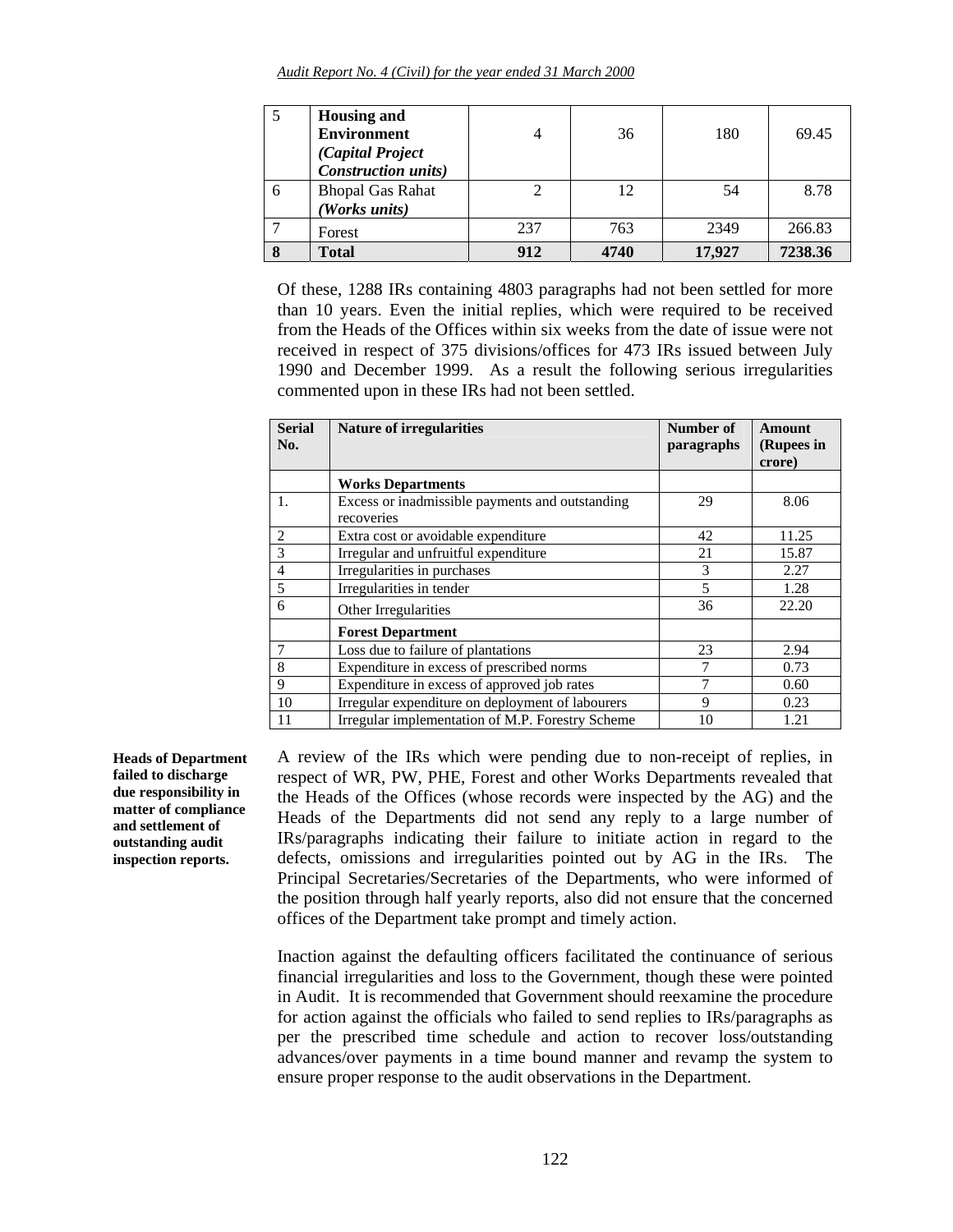*Audit Report No. 4 (Civil) for the year ended 31 March 2000*

|   | <b>Housing and</b><br><b>Environment</b><br>(Capital Project<br><b>Construction units)</b> |     | 36   | 180    | 69.45   |
|---|--------------------------------------------------------------------------------------------|-----|------|--------|---------|
| 6 | <b>Bhopal Gas Rahat</b><br>(Works units)                                                   |     | 12   | 54     | 8.78    |
|   | Forest                                                                                     | 237 | 763  | 2349   | 266.83  |
|   | <b>Total</b>                                                                               | 912 | 4740 | 17,927 | 7238.36 |

Of these, 1288 IRs containing 4803 paragraphs had not been settled for more than 10 years. Even the initial replies, which were required to be received from the Heads of the Offices within six weeks from the date of issue were not received in respect of 375 divisions/offices for 473 IRs issued between July 1990 and December 1999. As a result the following serious irregularities commented upon in these IRs had not been settled.

| <b>Serial</b><br>No. | <b>Nature of irregularities</b>                               | Number of<br><i>paragraphs</i> | Amount<br>(Rupees in<br>crore) |
|----------------------|---------------------------------------------------------------|--------------------------------|--------------------------------|
|                      | <b>Works Departments</b>                                      |                                |                                |
| 1.                   | Excess or inadmissible payments and outstanding<br>recoveries | 29                             | 8.06                           |
| 2                    | Extra cost or avoidable expenditure                           | 42                             | 11.25                          |
| 3                    | Irregular and unfruitful expenditure                          | 21                             | 15.87                          |
| $\overline{4}$       | Irregularities in purchases                                   | 3                              | 2.27                           |
| 5                    | Irregularities in tender                                      | 5                              | 1.28                           |
| 6                    | Other Irregularities                                          | 36                             | 22.20                          |
|                      | <b>Forest Department</b>                                      |                                |                                |
| 7                    | Loss due to failure of plantations                            | 23                             | 2.94                           |
| 8                    | Expenditure in excess of prescribed norms                     |                                | 0.73                           |
| 9                    | Expenditure in excess of approved job rates                   |                                | 0.60                           |
| 10                   | Irregular expenditure on deployment of labourers              | 9                              | 0.23                           |
| 11                   | Irregular implementation of M.P. Forestry Scheme              | 10                             | 1.21                           |

**Heads of Department failed to discharge due responsibility in matter of compliance and settlement of outstanding audit inspection reports.** 

A review of the IRs which were pending due to non-receipt of replies, in respect of WR, PW, PHE, Forest and other Works Departments revealed that the Heads of the Offices (whose records were inspected by the AG) and the Heads of the Departments did not send any reply to a large number of IRs/paragraphs indicating their failure to initiate action in regard to the defects, omissions and irregularities pointed out by AG in the IRs. The Principal Secretaries/Secretaries of the Departments, who were informed of the position through half yearly reports, also did not ensure that the concerned offices of the Department take prompt and timely action.

Inaction against the defaulting officers facilitated the continuance of serious financial irregularities and loss to the Government, though these were pointed in Audit. It is recommended that Government should reexamine the procedure for action against the officials who failed to send replies to IRs/paragraphs as per the prescribed time schedule and action to recover loss/outstanding advances/over payments in a time bound manner and revamp the system to ensure proper response to the audit observations in the Department.